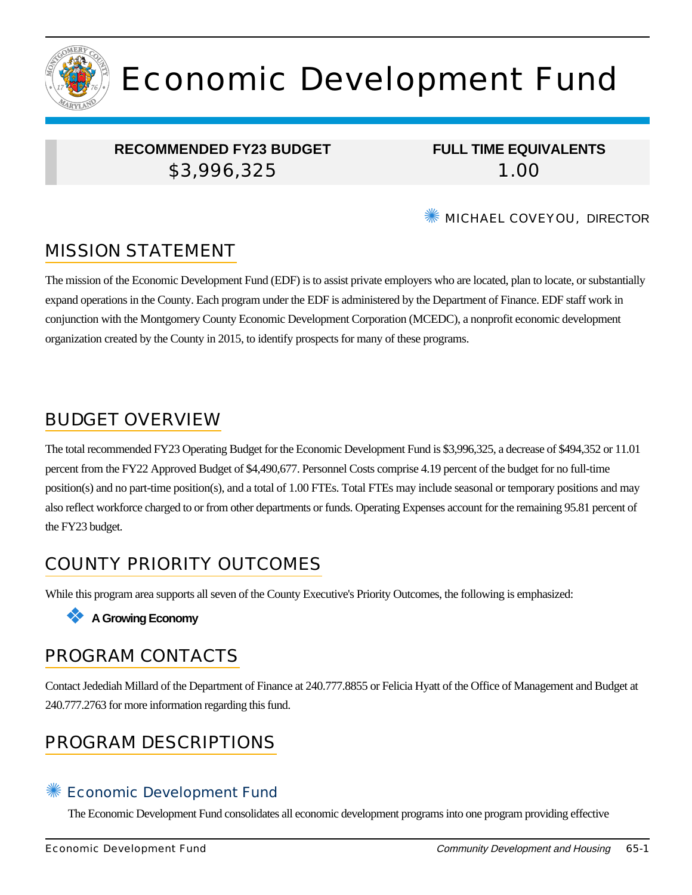

# Economic Development Fund

### **RECOMMENDED FY23 BUDGET** \$3,996,325

**FULL TIME EQUIVALENTS** 1.00

**WE MICHAEL COVEYOU, DIRECTOR** 

## MISSION STATEMENT

The mission of the Economic Development Fund (EDF) is to assist private employers who are located, plan to locate, or substantially expand operations in the County. Each program under the EDF is administered by the Department of Finance. EDF staff work in conjunction with the Montgomery County Economic Development Corporation (MCEDC), a nonprofit economic development organization created by the County in 2015, to identify prospects for many of these programs.

## BUDGET OVERVIEW

The total recommended FY23 Operating Budget for the Economic Development Fund is \$3,996,325, a decrease of \$494,352 or 11.01 percent from the FY22 Approved Budget of \$4,490,677. Personnel Costs comprise 4.19 percent of the budget for no full-time position(s) and no part-time position(s), and a total of 1.00 FTEs. Total FTEs may include seasonal or temporary positions and may also reflect workforce charged to or from other departments or funds. Operating Expenses account for the remaining 95.81 percent of the FY23 budget.

# COUNTY PRIORITY OUTCOMES

While this program area supports all seven of the County Executive's Priority Outcomes, the following is emphasized:

#### ❖ **A Growing Economy**

## PROGRAM CONTACTS

Contact Jedediah Millard of the Department of Finance at 240.777.8855 or Felicia Hyatt of the Office of Management and Budget at 240.777.2763 for more information regarding this fund.

## PROGRAM DESCRIPTIONS

#### Economic Development Fund

The Economic Development Fund consolidates all economic development programs into one program providing effective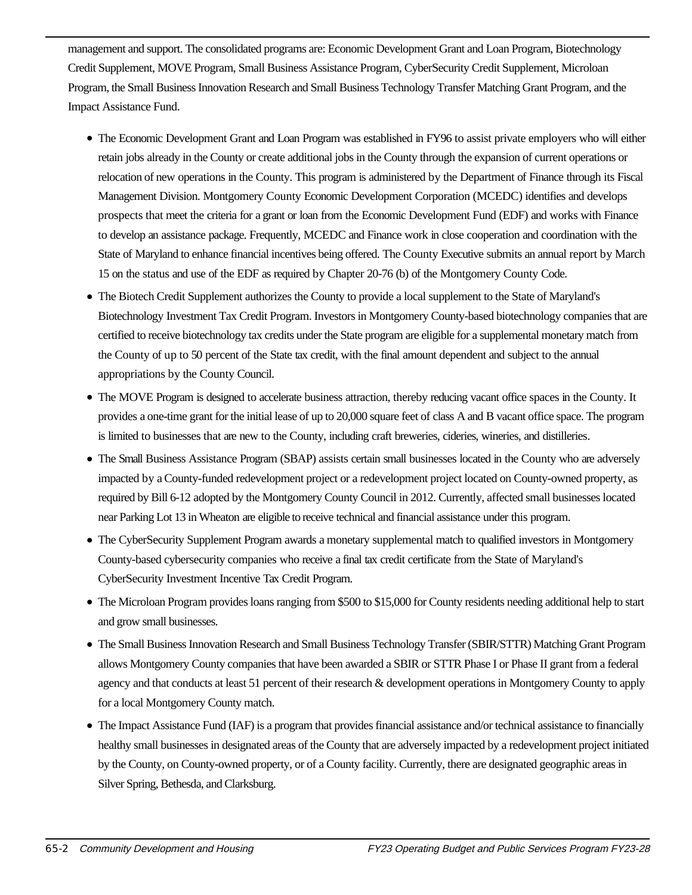management and support. The consolidated programs are: Economic Development Grant and Loan Program, Biotechnology Credit Supplement, MOVE Program, Small Business Assistance Program, CyberSecurity Credit Supplement, Microloan Program, the Small Business Innovation Research and Small Business Technology Transfer Matching Grant Program, and the Impact Assistance Fund.

- The Economic Development Grant and Loan Program was established in FY96 to assist private employers who will either retain jobs already in the County or create additional jobs in the County through the expansion of current operations or relocation of new operations in the County. This program is administered by the Department of Finance through its Fiscal Management Division. Montgomery County Economic Development Corporation (MCEDC) identifies and develops prospects that meet the criteria for a grant or loan from the Economic Development Fund (EDF) and works with Finance to develop an assistance package. Frequently, MCEDC and Finance work in close cooperation and coordination with the State of Maryland to enhance financial incentives being offered. The County Executive submits an annual report by March 15 on the status and use of the EDF as required by Chapter 20-76 (b) of the Montgomery County Code.
- The Biotech Credit Supplement authorizes the County to provide a local supplement to the State of Maryland's Biotechnology Investment Tax Credit Program. Investors in Montgomery County-based biotechnology companies that are certified to receive biotechnology tax credits under the State program are eligible for a supplemental monetary match from the County of up to 50 percent of the State tax credit, with the final amount dependent and subject to the annual appropriations by the County Council.
- The MOVE Program is designed to accelerate business attraction, thereby reducing vacant office spaces in the County. It provides a one-time grant for the initial lease of up to 20,000 square feet of class A and B vacant office space. The program is limited to businesses that are new to the County, including craft breweries, cideries, wineries, and distilleries.
- The Small Business Assistance Program (SBAP) assists certain small businesses located in the County who are adversely impacted by a County-funded redevelopment project or a redevelopment project located on County-owned property, as required by Bill 6-12 adopted by the Montgomery County Council in 2012. Currently, affected small businesses located near Parking Lot 13 in Wheaton are eligible to receive technical and financial assistance under this program.
- The CyberSecurity Supplement Program awards a monetary supplemental match to qualified investors in Montgomery County-based cybersecurity companies who receive a final tax credit certificate from the State of Maryland's CyberSecurity Investment Incentive Tax Credit Program.
- The Microloan Program provides loans ranging from \$500 to \$15,000 for County residents needing additional help to start and grow small businesses.
- The Small Business Innovation Research and Small Business Technology Transfer (SBIR/STTR) Matching Grant Program allows Montgomery County companies that have been awarded a SBIR or STTR Phase I or Phase II grant from a federal agency and that conducts at least 51 percent of their research & development operations in Montgomery County to apply for a local Montgomery County match.
- The Impact Assistance Fund (IAF) is a program that provides financial assistance and/or technical assistance to financially healthy small businesses in designated areas of the County that are adversely impacted by a redevelopment project initiated by the County, on County-owned property, or of a County facility. Currently, there are designated geographic areas in Silver Spring, Bethesda, and Clarksburg.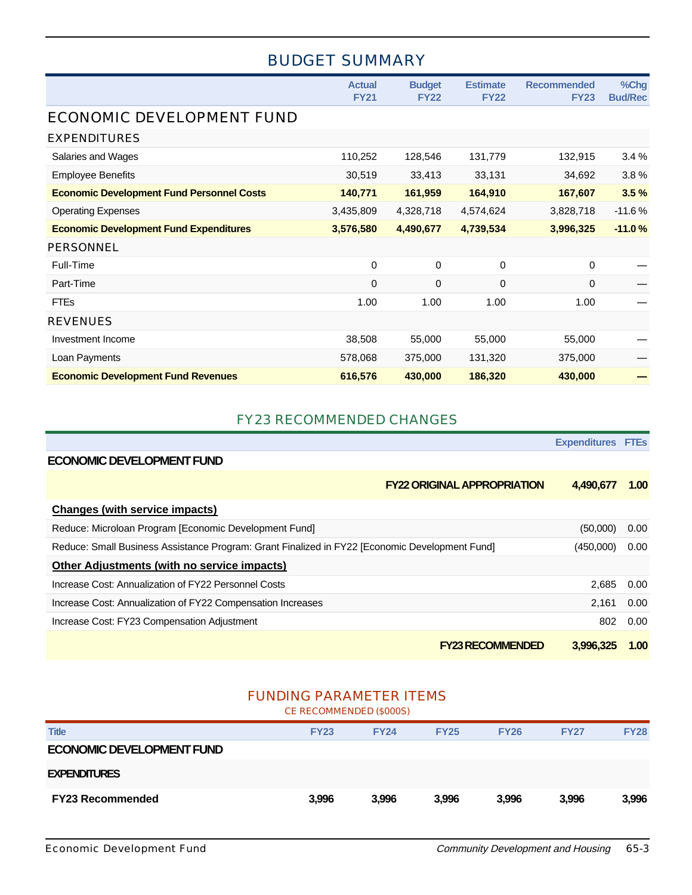## BUDGET SUMMARY

|                                                  | <b>Actual</b><br><b>FY21</b> | <b>Budget</b><br><b>FY22</b> | <b>Estimate</b><br><b>FY22</b> | <b>Recommended</b><br><b>FY23</b> | %Chg<br><b>Bud/Rec</b> |
|--------------------------------------------------|------------------------------|------------------------------|--------------------------------|-----------------------------------|------------------------|
| ECONOMIC DEVELOPMENT FUND                        |                              |                              |                                |                                   |                        |
| <b>EXPENDITURES</b>                              |                              |                              |                                |                                   |                        |
| Salaries and Wages                               | 110,252                      | 128,546                      | 131,779                        | 132,915                           | 3.4%                   |
| <b>Employee Benefits</b>                         | 30,519                       | 33,413                       | 33,131                         | 34,692                            | 3.8%                   |
| <b>Economic Development Fund Personnel Costs</b> | 140,771                      | 161,959                      | 164,910                        | 167,607                           | 3.5%                   |
| <b>Operating Expenses</b>                        | 3,435,809                    | 4,328,718                    | 4,574,624                      | 3,828,718                         | $-11.6%$               |
| <b>Economic Development Fund Expenditures</b>    | 3,576,580                    | 4,490,677                    | 4,739,534                      | 3,996,325                         | $-11.0%$               |
| <b>PERSONNEL</b>                                 |                              |                              |                                |                                   |                        |
| Full-Time                                        | 0                            | 0                            | $\mathbf 0$                    | $\mathbf 0$                       |                        |
| Part-Time                                        | $\mathbf 0$                  | $\mathbf 0$                  | $\mathbf 0$                    | $\mathbf 0$                       |                        |
| <b>FTEs</b>                                      | 1.00                         | 1.00                         | 1.00                           | 1.00                              |                        |
| <b>REVENUES</b>                                  |                              |                              |                                |                                   |                        |
| Investment Income                                | 38,508                       | 55,000                       | 55,000                         | 55,000                            |                        |
| Loan Payments                                    | 578,068                      | 375,000                      | 131,320                        | 375,000                           |                        |
| <b>Economic Development Fund Revenues</b>        | 616,576                      | 430,000                      | 186,320                        | 430,000                           |                        |

#### FY23 RECOMMENDED CHANGES

|                                                                                                | <b>Expenditures FTEs</b> |      |
|------------------------------------------------------------------------------------------------|--------------------------|------|
| <b>ECONOMIC DEVELOPMENT FUND</b>                                                               |                          |      |
| <b>FY22 ORIGINAL APPROPRIATION</b>                                                             | 4,490,677                | 1.00 |
| Changes (with service impacts)                                                                 |                          |      |
| Reduce: Microloan Program [Economic Development Fund]                                          | (50,000)                 | 0.00 |
| Reduce: Small Business Assistance Program: Grant Finalized in FY22 [Economic Development Fund] | (450,000)                | 0.00 |
| Other Adjustments (with no service impacts)                                                    |                          |      |
| Increase Cost: Annualization of FY22 Personnel Costs                                           | 2.685                    | 0.00 |
| Increase Cost: Annualization of FY22 Compensation Increases                                    | 2.161                    | 0.00 |
| Increase Cost: FY23 Compensation Adjustment                                                    | 802                      | 0.00 |
| <b>FY23 RECOMMENDED</b>                                                                        | 3.996.325                | 1.00 |

## FUNDING PARAMETER ITEMS

CE RECOMMENDED (\$000S)

| <b>Title</b>                     | <b>FY23</b> | <b>FY24</b> | <b>FY25</b> | <b>FY26</b> | <b>FY27</b> | <b>FY28</b> |
|----------------------------------|-------------|-------------|-------------|-------------|-------------|-------------|
| <b>ECONOMIC DEVELOPMENT FUND</b> |             |             |             |             |             |             |
| <b>EXPENDITURES</b>              |             |             |             |             |             |             |
| <b>FY23 Recommended</b>          | 3,996       | 3,996       | 3.996       | 3,996       | 3,996       | 3,996       |